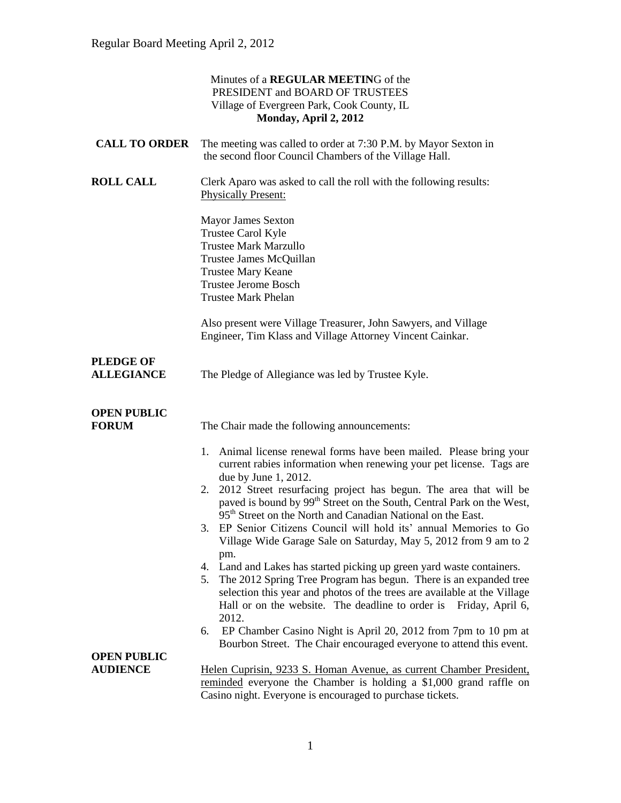|                                       | Minutes of a REGULAR MEETING of the<br>PRESIDENT and BOARD OF TRUSTEES                                                                                                                                                                                                                                                                                                                                                                                                                                                                                                                                                                                                                                                                                                                                                                                                                                                                                                                                                     |
|---------------------------------------|----------------------------------------------------------------------------------------------------------------------------------------------------------------------------------------------------------------------------------------------------------------------------------------------------------------------------------------------------------------------------------------------------------------------------------------------------------------------------------------------------------------------------------------------------------------------------------------------------------------------------------------------------------------------------------------------------------------------------------------------------------------------------------------------------------------------------------------------------------------------------------------------------------------------------------------------------------------------------------------------------------------------------|
|                                       | Village of Evergreen Park, Cook County, IL                                                                                                                                                                                                                                                                                                                                                                                                                                                                                                                                                                                                                                                                                                                                                                                                                                                                                                                                                                                 |
| Monday, April 2, 2012                 |                                                                                                                                                                                                                                                                                                                                                                                                                                                                                                                                                                                                                                                                                                                                                                                                                                                                                                                                                                                                                            |
| <b>CALL TO ORDER</b>                  | The meeting was called to order at 7:30 P.M. by Mayor Sexton in<br>the second floor Council Chambers of the Village Hall.                                                                                                                                                                                                                                                                                                                                                                                                                                                                                                                                                                                                                                                                                                                                                                                                                                                                                                  |
| <b>ROLL CALL</b>                      | Clerk Aparo was asked to call the roll with the following results:<br><b>Physically Present:</b>                                                                                                                                                                                                                                                                                                                                                                                                                                                                                                                                                                                                                                                                                                                                                                                                                                                                                                                           |
|                                       | <b>Mayor James Sexton</b><br>Trustee Carol Kyle<br><b>Trustee Mark Marzullo</b><br>Trustee James McQuillan<br><b>Trustee Mary Keane</b><br><b>Trustee Jerome Bosch</b><br><b>Trustee Mark Phelan</b>                                                                                                                                                                                                                                                                                                                                                                                                                                                                                                                                                                                                                                                                                                                                                                                                                       |
|                                       | Also present were Village Treasurer, John Sawyers, and Village<br>Engineer, Tim Klass and Village Attorney Vincent Cainkar.                                                                                                                                                                                                                                                                                                                                                                                                                                                                                                                                                                                                                                                                                                                                                                                                                                                                                                |
| <b>PLEDGE OF</b><br><b>ALLEGIANCE</b> | The Pledge of Allegiance was led by Trustee Kyle.                                                                                                                                                                                                                                                                                                                                                                                                                                                                                                                                                                                                                                                                                                                                                                                                                                                                                                                                                                          |
| <b>OPEN PUBLIC</b>                    |                                                                                                                                                                                                                                                                                                                                                                                                                                                                                                                                                                                                                                                                                                                                                                                                                                                                                                                                                                                                                            |
| <b>FORUM</b>                          | The Chair made the following announcements:                                                                                                                                                                                                                                                                                                                                                                                                                                                                                                                                                                                                                                                                                                                                                                                                                                                                                                                                                                                |
| <b>OPEN PUBLIC</b>                    | 1. Animal license renewal forms have been mailed. Please bring your<br>current rabies information when renewing your pet license. Tags are<br>due by June 1, 2012.<br>2012 Street resurfacing project has begun. The area that will be<br>2.<br>paved is bound by 99 <sup>th</sup> Street on the South, Central Park on the West,<br>95 <sup>th</sup> Street on the North and Canadian National on the East.<br>3. EP Senior Citizens Council will hold its' annual Memories to Go<br>Village Wide Garage Sale on Saturday, May 5, 2012 from 9 am to 2<br>pm.<br>4. Land and Lakes has started picking up green yard waste containers.<br>The 2012 Spring Tree Program has begun. There is an expanded tree<br>5.<br>selection this year and photos of the trees are available at the Village<br>Hall or on the website. The deadline to order is<br>Friday, April 6,<br>2012.<br>6. EP Chamber Casino Night is April 20, 2012 from 7pm to 10 pm at<br>Bourbon Street. The Chair encouraged everyone to attend this event. |
| <b>AUDIENCE</b>                       | Helen Cuprisin, 9233 S. Homan Avenue, as current Chamber President,<br>reminded everyone the Chamber is holding a \$1,000 grand raffle on                                                                                                                                                                                                                                                                                                                                                                                                                                                                                                                                                                                                                                                                                                                                                                                                                                                                                  |
|                                       | Casino night. Everyone is encouraged to purchase tickets.                                                                                                                                                                                                                                                                                                                                                                                                                                                                                                                                                                                                                                                                                                                                                                                                                                                                                                                                                                  |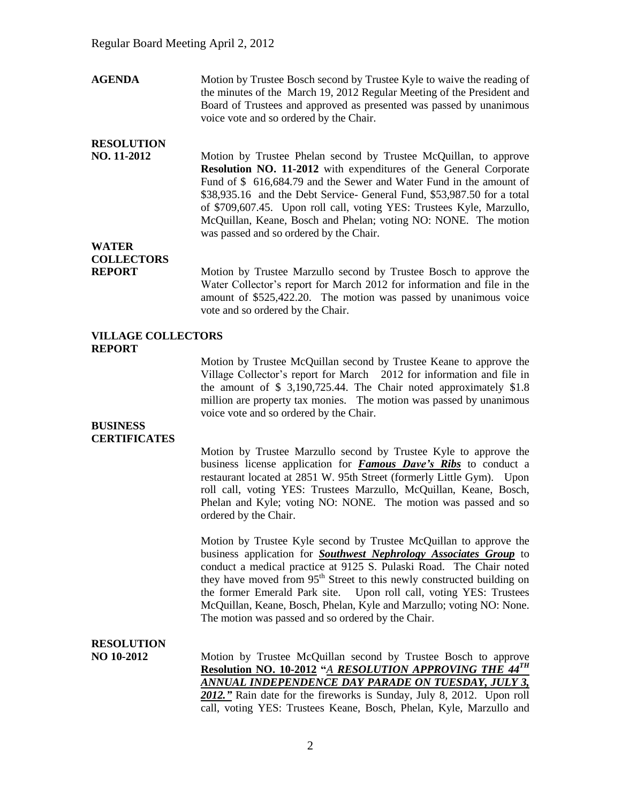**AGENDA** Motion by Trustee Bosch second by Trustee Kyle to waive the reading of the minutes of the March 19, 2012 Regular Meeting of the President and Board of Trustees and approved as presented was passed by unanimous voice vote and so ordered by the Chair.

#### **RESOLUTION**

**NO. 11-2012** Motion by Trustee Phelan second by Trustee McQuillan, to approve **Resolution NO. 11-2012** with expenditures of the General Corporate Fund of \$ 616,684.79 and the Sewer and Water Fund in the amount of \$38,935.16 and the Debt Service- General Fund, \$53,987.50 for a total of \$709,607.45. Upon roll call, voting YES: Trustees Kyle, Marzullo, McQuillan, Keane, Bosch and Phelan; voting NO: NONE. The motion was passed and so ordered by the Chair.

#### **WATER COLLECTORS**

**REPORT** Motion by Trustee Marzullo second by Trustee Bosch to approve the Water Collector's report for March 2012 for information and file in the amount of \$525,422.20. The motion was passed by unanimous voice vote and so ordered by the Chair.

#### **VILLAGE COLLECTORS REPORT**

Motion by Trustee McQuillan second by Trustee Keane to approve the Village Collector's report for March 2012 for information and file in the amount of \$ 3,190,725.44. The Chair noted approximately \$1.8 million are property tax monies. The motion was passed by unanimous voice vote and so ordered by the Chair.

#### **BUSINESS CERTIFICATES**

Motion by Trustee Marzullo second by Trustee Kyle to approve the business license application for *Famous Dave's Ribs* to conduct a restaurant located at 2851 W. 95th Street (formerly Little Gym). Upon roll call, voting YES: Trustees Marzullo, McQuillan, Keane, Bosch, Phelan and Kyle; voting NO: NONE. The motion was passed and so ordered by the Chair.

Motion by Trustee Kyle second by Trustee McQuillan to approve the business application for *Southwest Nephrology Associates Group* to conduct a medical practice at 9125 S. Pulaski Road. The Chair noted they have moved from 95<sup>th</sup> Street to this newly constructed building on the former Emerald Park site. Upon roll call, voting YES: Trustees McQuillan, Keane, Bosch, Phelan, Kyle and Marzullo; voting NO: None. The motion was passed and so ordered by the Chair.

### **RESOLUTION**

**NO 10-2012** Motion by Trustee McQuillan second by Trustee Bosch to approve **Resolution NO. 10-2012 "***A RESOLUTION APPROVING THE 44TH ANNUAL INDEPENDENCE DAY PARADE ON TUESDAY, JULY 3, 2012."* Rain date for the fireworks is Sunday, July 8, 2012. Upon roll call, voting YES: Trustees Keane, Bosch, Phelan, Kyle, Marzullo and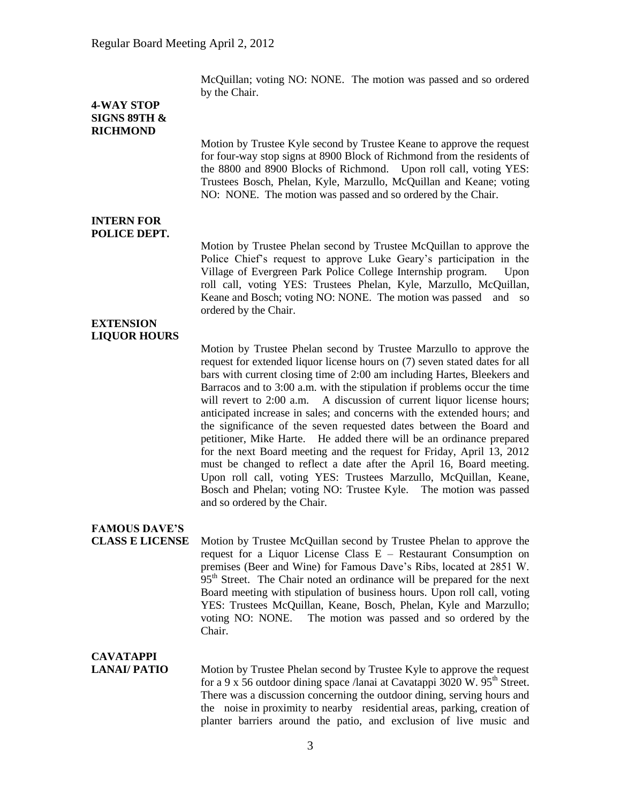McQuillan; voting NO: NONE. The motion was passed and so ordered by the Chair.

#### **4-WAY STOP SIGNS 89TH & RICHMOND**

Motion by Trustee Kyle second by Trustee Keane to approve the request for four-way stop signs at 8900 Block of Richmond from the residents of the 8800 and 8900 Blocks of Richmond. Upon roll call, voting YES: Trustees Bosch, Phelan, Kyle, Marzullo, McQuillan and Keane; voting NO: NONE. The motion was passed and so ordered by the Chair.

#### **INTERN FOR POLICE DEPT.**

Motion by Trustee Phelan second by Trustee McQuillan to approve the Police Chief's request to approve Luke Geary's participation in the Village of Evergreen Park Police College Internship program. Upon roll call, voting YES: Trustees Phelan, Kyle, Marzullo, McQuillan, Keane and Bosch; voting NO: NONE. The motion was passed and so ordered by the Chair.

#### **EXTENSION LIQUOR HOURS**

Motion by Trustee Phelan second by Trustee Marzullo to approve the request for extended liquor license hours on (7) seven stated dates for all bars with current closing time of 2:00 am including Hartes, Bleekers and Barracos and to 3:00 a.m. with the stipulation if problems occur the time will revert to 2:00 a.m. A discussion of current liquor license hours; anticipated increase in sales; and concerns with the extended hours; and the significance of the seven requested dates between the Board and petitioner, Mike Harte. He added there will be an ordinance prepared for the next Board meeting and the request for Friday, April 13, 2012 must be changed to reflect a date after the April 16, Board meeting. Upon roll call, voting YES: Trustees Marzullo, McQuillan, Keane, Bosch and Phelan; voting NO: Trustee Kyle. The motion was passed and so ordered by the Chair.

#### **FAMOUS DAVE'S**

**CLASS E LICENSE** Motion by Trustee McQuillan second by Trustee Phelan to approve the request for a Liquor License Class E – Restaurant Consumption on premises (Beer and Wine) for Famous Dave's Ribs, located at 2851 W. 95<sup>th</sup> Street. The Chair noted an ordinance will be prepared for the next Board meeting with stipulation of business hours. Upon roll call, voting YES: Trustees McQuillan, Keane, Bosch, Phelan, Kyle and Marzullo; voting NO: NONE. The motion was passed and so ordered by the Chair.

## **CAVATAPPI**

**LANAI/ PATIO** Motion by Trustee Phelan second by Trustee Kyle to approve the request for a 9 x 56 outdoor dining space *f* langi at Cavatappi  $3020 \text{ W}$ . 95<sup>th</sup> Street. There was a discussion concerning the outdoor dining, serving hours and the noise in proximity to nearby residential areas, parking, creation of planter barriers around the patio, and exclusion of live music and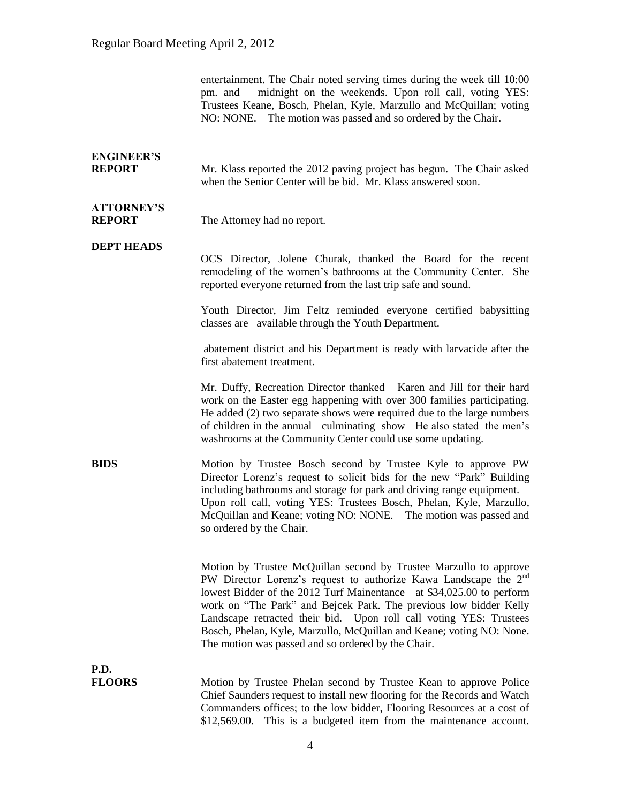entertainment. The Chair noted serving times during the week till 10:00 pm. and midnight on the weekends. Upon roll call, voting YES: Trustees Keane, Bosch, Phelan, Kyle, Marzullo and McQuillan; voting NO: NONE. The motion was passed and so ordered by the Chair.

## **ENGINEER'S**

**REPORT** Mr. Klass reported the 2012 paving project has begun. The Chair asked when the Senior Center will be bid. Mr. Klass answered soon.

# **ATTORNEY'S**

**REPORT** The Attorney had no report.

#### **DEPT HEADS**

OCS Director, Jolene Churak, thanked the Board for the recent remodeling of the women's bathrooms at the Community Center. She reported everyone returned from the last trip safe and sound.

Youth Director, Jim Feltz reminded everyone certified babysitting classes are available through the Youth Department.

abatement district and his Department is ready with larvacide after the first abatement treatment.

Mr. Duffy, Recreation Director thanked Karen and Jill for their hard work on the Easter egg happening with over 300 families participating. He added (2) two separate shows were required due to the large numbers of children in the annual culminating show He also stated the men's washrooms at the Community Center could use some updating.

**BIDS** Motion by Trustee Bosch second by Trustee Kyle to approve PW Director Lorenz's request to solicit bids for the new "Park" Building including bathrooms and storage for park and driving range equipment. Upon roll call, voting YES: Trustees Bosch, Phelan, Kyle, Marzullo, McQuillan and Keane; voting NO: NONE. The motion was passed and so ordered by the Chair.

> Motion by Trustee McQuillan second by Trustee Marzullo to approve PW Director Lorenz's request to authorize Kawa Landscape the 2<sup>nd</sup> lowest Bidder of the 2012 Turf Mainentance at \$34,025.00 to perform work on "The Park" and Bejcek Park. The previous low bidder Kelly Landscape retracted their bid. Upon roll call voting YES: Trustees Bosch, Phelan, Kyle, Marzullo, McQuillan and Keane; voting NO: None. The motion was passed and so ordered by the Chair.

**P.D.**

Motion by Trustee Phelan second by Trustee Kean to approve Police Chief Saunders request to install new flooring for the Records and Watch Commanders offices; to the low bidder, Flooring Resources at a cost of \$12,569.00. This is a budgeted item from the maintenance account.